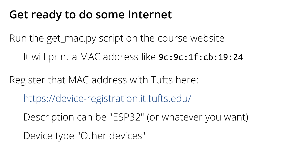### **Get ready to do some Internet**

Run the get\_mac.py script on the course website

It will print a MAC address like  $9c:9c:1f:cb:19:24$ 

Register that MAC address with Tufts here:

https://device-registration.it.tufts.edu/

Description can be "ESP32" (or whatever you want)

Device type "Other devices"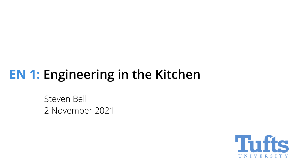# **EN 1: Engineering in the Kitchen**

Steven Bell 2 November 2021

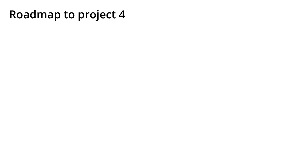#### **Roadmap to project 4**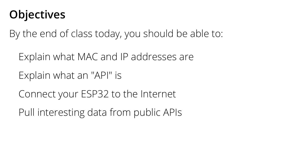# **Objectives**

By the end of class today, you should be able to:

- Explain what MAC and IP addresses are
- Explain what an "API" is
- Connect your ESP32 to the Internet
- Pull interesting data from public APIs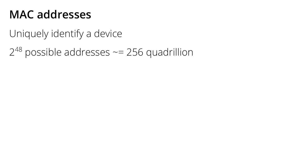### **MAC addresses**

Uniquely identify a device

 $2^{48}$  possible addresses  $\sim$  = 256 quadrillion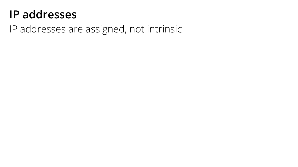### **IP addresses**

IP addresses are assigned, not intrinsic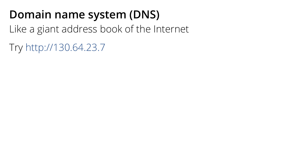# **Domain name system (DNS)**

#### Like a giant address book of the Internet

Try http://130.64.23.7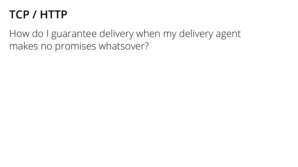# **TCP / HTTP**

How do I guarantee delivery when my delivery agent makes no promises whatsover?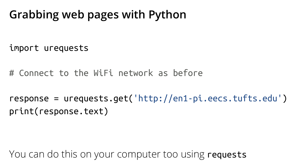# **Grabbing web pages with Python**

import urequests

# Connect to the WiFi network as before

response = urequests.get('http://en1-pi.eecs.tufts.edu') print(response.text)

You can do this on your computer too using requests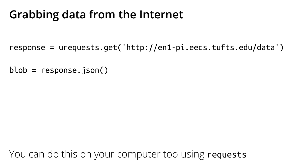#### **Grabbing data from the Internet**

response = urequests.get('http://en1-pi.eecs.tufts.edu/data')

 $blob = response.join()$ 

You can do this on your computer too using requests